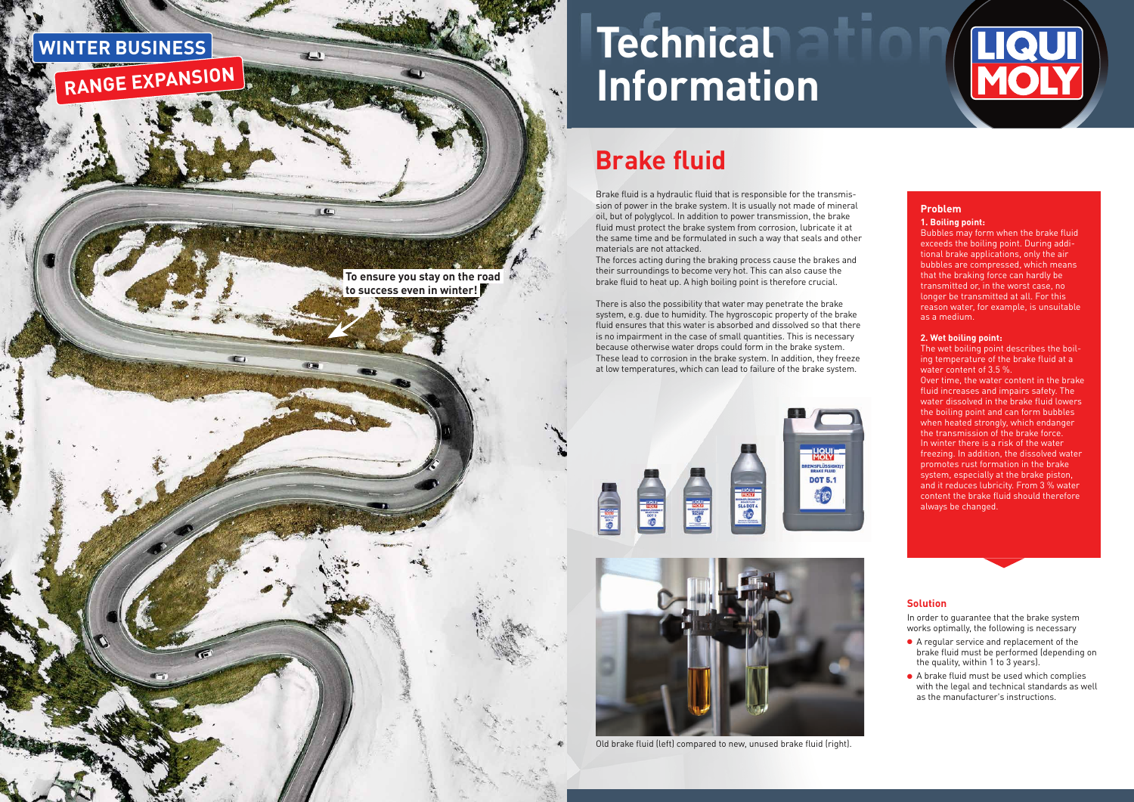

## **Brake fluid**

# **Technical Information**

Brake fluid is a hydraulic fluid that is responsible for the transmission of power in the brake system. It is usually not made of mineral oil, but of polyglycol. In addition to power transmission, the brake fluid must protect the brake system from corrosion, lubricate it at the same time and be formulated in such a way that seals and other

The forces acting during the braking process cause the brakes and their surroundings to become very hot. This can also cause the brake fluid to heat up. A high boiling point is therefore crucial.

Bubbles may form when the brake fluid exceeds the boiling point. During additional brake applications, only the air bubbles are compressed, which means that the braking force can hardly be transmitted or, in the worst case, no longer be transmitted at all. For this reason water, for example, is unsuitable as a medium.

There is also the possibility that water may penetrate the brake system, e.g. due to humidity. The hygroscopic property of the brake fluid ensures that this water is absorbed and dissolved so that there is no impairment in the case of small quantities. This is necessary because otherwise water drops could form in the brake system. These lead to corrosion in the brake system. In addition, they freeze at low temperatures, which can lead to failure of the brake system.



**ENGY** 

In order to guarantee that the brake system works optimally, the following is necessary



#### **1. Boiling point:**

#### **2. Wet boiling point:**

The wet boiling point describes the boiling temperature of the brake fluid at a water content of 3.5 %.

Over time, the water content in the brake fluid increases and impairs safety. The water dissolved in the brake fluid lowers the boiling point and can form bubbles when heated strongly, which endanger the transmission of the brake force. In winter there is a risk of the water freezing. In addition, the dissolved water promotes rust formation in the brake system, especially at the brake piston, and it reduces lubricity. From 3 % water content the brake fluid should therefore always be changed.

### **Solution**

- A regular service and replacement of the brake fluid must be performed (depending on the quality, within 1 to 3 years).
- A brake fluid must be used which complies with the legal and technical standards as well as the manufacturer's instructions.

Old brake fluid (left) compared to new, unused brake fluid (right).



EMSFLÜSSIGK<br>BRAKE FLUID

**DOT 5.1**